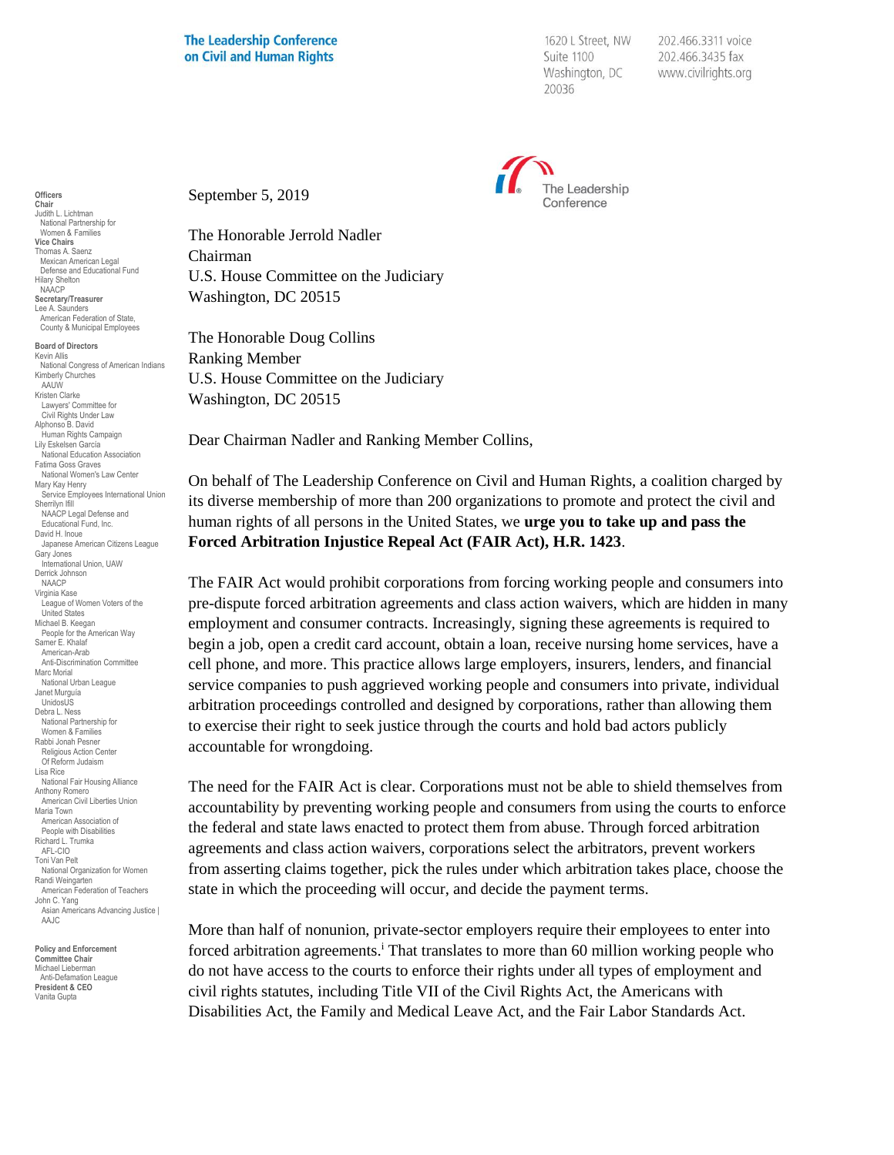## **The Leadership Conference** on Civil and Human Rights

1620 L Street, NW Suite 1100 Washington, DC 20036

202.466.3311 voice 202.466.3435 fax www.civilrights.org



September 5, 2019

The Honorable Jerrold Nadler Chairman U.S. House Committee on the Judiciary Washington, DC 20515

The Honorable Doug Collins Ranking Member U.S. House Committee on the Judiciary Washington, DC 20515

Dear Chairman Nadler and Ranking Member Collins,

On behalf of The Leadership Conference on Civil and Human Rights, a coalition charged by its diverse membership of more than 200 organizations to promote and protect the civil and human rights of all persons in the United States, we **urge you to take up and pass the Forced Arbitration Injustice Repeal Act (FAIR Act), H.R. 1423**.

The FAIR Act would prohibit corporations from forcing working people and consumers into pre-dispute forced arbitration agreements and class action waivers, which are hidden in many employment and consumer contracts. Increasingly, signing these agreements is required to begin a job, open a credit card account, obtain a loan, receive nursing home services, have a cell phone, and more. This practice allows large employers, insurers, lenders, and financial service companies to push aggrieved working people and consumers into private, individual arbitration proceedings controlled and designed by corporations, rather than allowing them to exercise their right to seek justice through the courts and hold bad actors publicly accountable for wrongdoing.

The need for the FAIR Act is clear. Corporations must not be able to shield themselves from accountability by preventing working people and consumers from using the courts to enforce the federal and state laws enacted to protect them from abuse. Through forced arbitration agreements and class action waivers, corporations select the arbitrators, prevent workers from asserting claims together, pick the rules under which arbitration takes place, choose the state in which the proceeding will occur, and decide the payment terms.

More than half of nonunion, private-sector employers require their employees to enter into forced arbitration agreements.<sup>i</sup> That translates to more than 60 million working people who do not have access to the courts to enforce their rights under all types of employment and civil rights statutes, including Title VII of the Civil Rights Act, the Americans with Disabilities Act, the Family and Medical Leave Act, and the Fair Labor Standards Act.

**Officers Chair** Judith L. Lichtman National Partnership for Women & Families **Vice Chairs** Thomas A. Saenz Mexican American Legal Defense and Educational Fund Hilary Shelton NAACP **Secretary/Treasurer** Lee A. Saunders American Federation of State, County & Municipal Employees

**Board of Directors** Kevin Allis National Congress of American Indians Kimberly Churches AAUW Kristen Clarke Lawyers' Committee for Civil Rights Under Law Alphonso B. David Human Rights Campaign Lily Eskelsen García National Education Association Fatima Goss Graves National Women's Law Center Mary Kay Henry Service Employees International Union Sherrilyn Ifill NAACP Legal Defense and Educational Fund, Inc. David H. Inoue Japanese American Citizens League Gary Jones International Union, UAW Derrick Johnson NAACP Virginia Kase League of Women Voters of the United States Michael B. Keegan People for the American Way Samer E. Khalaf American-Arab Anti-Discrimination Committee Marc Morial National Urban League Janet Murguía UnidosUS Debra L. Ness National Partnership for Women & Families Rabbi Jonah Pesner Religious Action Center Of Reform Judaism Lisa Rice National Fair Housing Alliance Anthony Romero American Civil Liberties Union Maria Town American Association of People with Disabilities Richard L. Trumka AFL-CIO Toni Van Pelt National Organization for Women Randi Weingarten American Federation of Teachers John C. Yang Asian Americans Advancing Justice I AAJC

**Policy and Enforcement Committee Chair** Michael Lieberman Anti-Defamation League **President & CEO** Vanita Gupta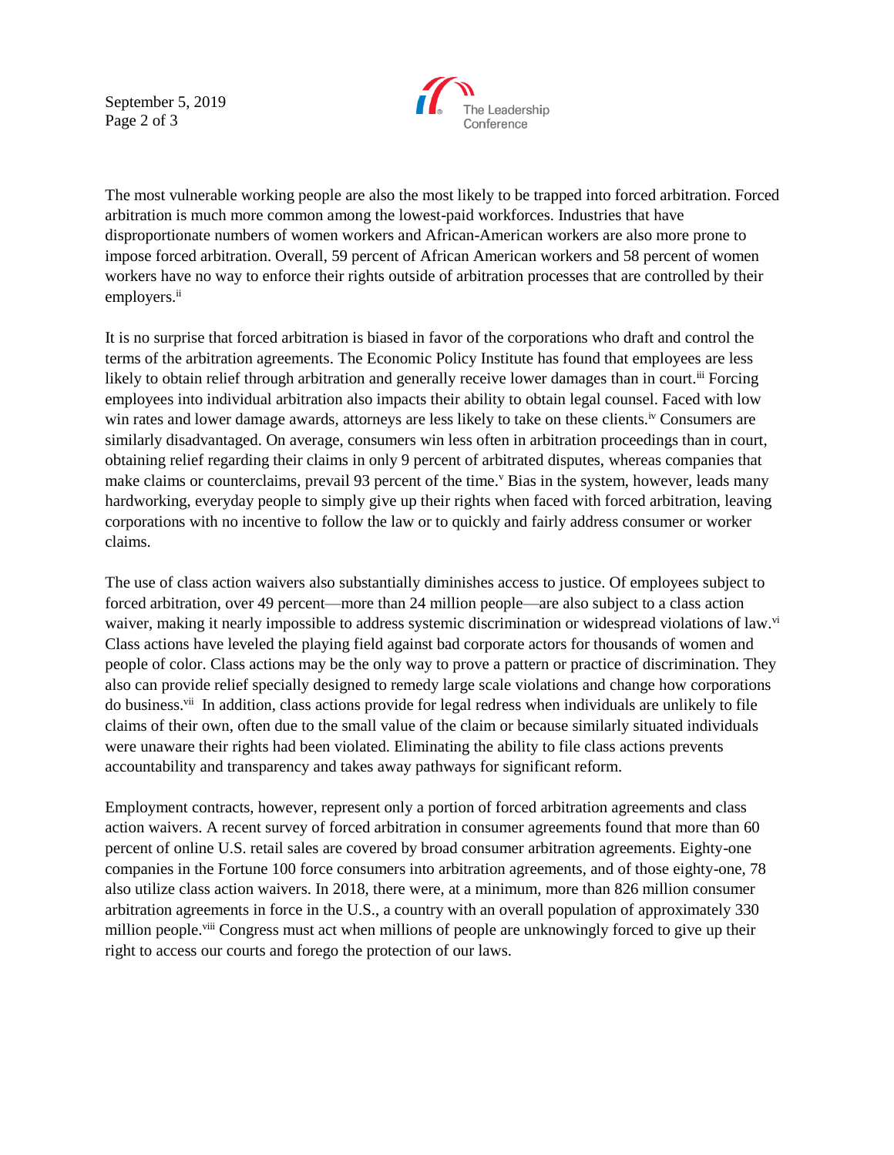September 5, 2019 Page 2 of 3



The most vulnerable working people are also the most likely to be trapped into forced arbitration. Forced arbitration is much more common among the lowest-paid workforces. Industries that have disproportionate numbers of women workers and African-American workers are also more prone to impose forced arbitration. Overall, 59 percent of African American workers and 58 percent of women workers have no way to enforce their rights outside of arbitration processes that are controlled by their employers.<sup>ii</sup>

It is no surprise that forced arbitration is biased in favor of the corporations who draft and control the terms of the arbitration agreements. The Economic Policy Institute has found that employees are less likely to obtain relief through arbitration and generally receive lower damages than in court.<sup>iii</sup> Forcing employees into individual arbitration also impacts their ability to obtain legal counsel. Faced with low win rates and lower damage awards, attorneys are less likely to take on these clients.<sup>iv</sup> Consumers are similarly disadvantaged. On average, consumers win less often in arbitration proceedings than in court, obtaining relief regarding their claims in only 9 percent of arbitrated disputes, whereas companies that make claims or counterclaims, prevail 93 percent of the time.<sup>v</sup> Bias in the system, however, leads many hardworking, everyday people to simply give up their rights when faced with forced arbitration, leaving corporations with no incentive to follow the law or to quickly and fairly address consumer or worker claims.

The use of class action waivers also substantially diminishes access to justice. Of employees subject to forced arbitration, over 49 percent—more than 24 million people—are also subject to a class action waiver, making it nearly impossible to address systemic discrimination or widespread violations of law.<sup>vi</sup> Class actions have leveled the playing field against bad corporate actors for thousands of women and people of color. Class actions may be the only way to prove a pattern or practice of discrimination. They also can provide relief specially designed to remedy large scale violations and change how corporations do business.<sup>vii</sup> In addition, class actions provide for legal redress when individuals are unlikely to file claims of their own, often due to the small value of the claim or because similarly situated individuals were unaware their rights had been violated. Eliminating the ability to file class actions prevents accountability and transparency and takes away pathways for significant reform.

Employment contracts, however, represent only a portion of forced arbitration agreements and class action waivers. A recent survey of forced arbitration in consumer agreements found that more than 60 percent of online U.S. retail sales are covered by broad consumer arbitration agreements. Eighty-one companies in the Fortune 100 force consumers into arbitration agreements, and of those eighty-one, 78 also utilize class action waivers. In 2018, there were, at a minimum, more than 826 million consumer arbitration agreements in force in the U.S., a country with an overall population of approximately 330 million people.<sup>viii</sup> Congress must act when millions of people are unknowingly forced to give up their right to access our courts and forego the protection of our laws.